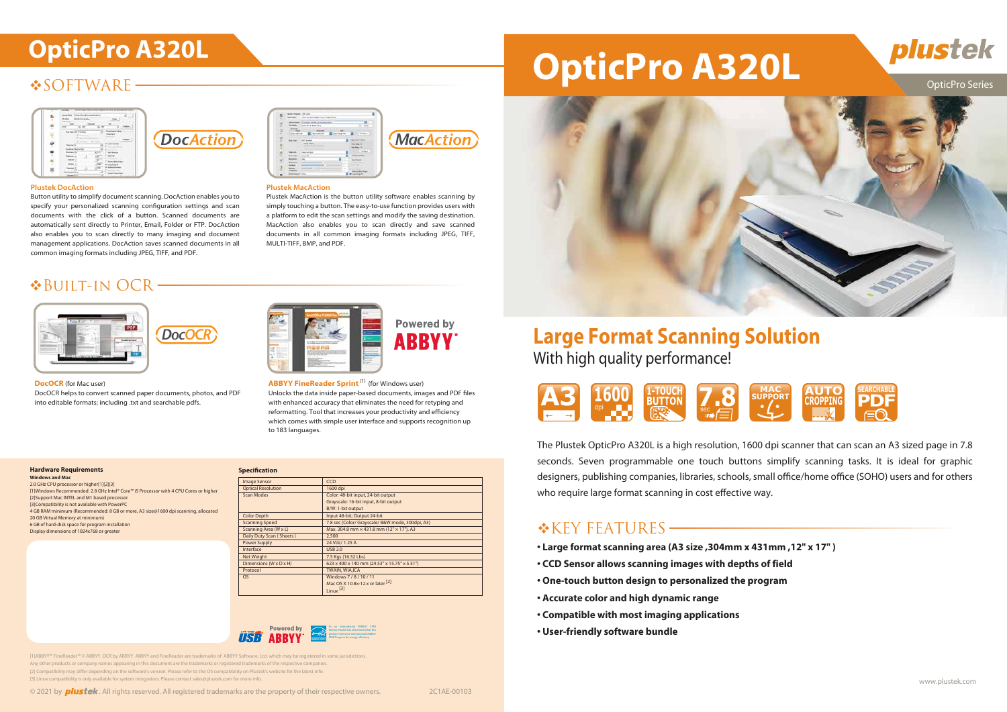# **SOFTWARE**



**DocAction** 

### **Plustek DocAction**

# **OpticPro A320L OpticPro A320L**



# **Large Format Scanning Solution** With high quality performance!

OpticPro Series

The Plustek OpticPro A320L is a high resolution, 1600 dpi scanner that can scan an A3 sized page in 7.8 seconds. Seven programmable one touch buttons simplify scanning tasks. It is ideal for graphic designers, publishing companies, libraries, schools, small office/home office (SOHO) users and for others who require large format scanning in cost effective way.

# $K$ KEY FEATURES  $\longrightarrow$



- **Large format scanning area (A3 size ,304mm x 431mm ,12" x 17" )**
- **CCD Sensor allows scanning images with depths of field**
- **One-touch button design to personalized the program**
- **Accurate color and high dynamic range**
- **Compatible with most imaging applications**
- **User-friendly software bundle**





| <b>Image Sensor</b>       | <b>CCD</b>                                       |
|---------------------------|--------------------------------------------------|
| <b>Optical Resolution</b> | 1600 dpi                                         |
| Scan Modes                | Color: 48-bit input, 24-bit output               |
|                           | Grayscale: 16-bit input, 8-bit output            |
|                           | B/W: 1-bit output                                |
| <b>Color Depth</b>        | Input 48-bit; Output 24-bit                      |
| <b>Scanning Speed</b>     | 7.8 sec (Color/ Grayscale/ B&W mode, 300dpi, A3) |
| Scanning Area (W x L)     | Max. 304.8 mm × 431.8 mm (12" × 17"), A3         |
| Daily Duty Scan (Sheets)  | 2,500                                            |
| <b>Power Supply</b>       | 24 Vdc/ 1.25 A                                   |
| Interface                 | <b>USB 2.0</b>                                   |
| Net Weight                | 7.5 Kgs (16.52 Lbs)                              |
| Dimensions (W x D x H)    | 623 x 400 x 140 mm (24.53" x 15.75" x 5.51")     |
| Protocol                  | <b>TWAIN, WIA,ICA</b>                            |
| <b>OS</b>                 | Windows 7 / 8 / 10 / 11                          |
|                           | Mac OS X 10.8x-12.x or later <sup>[2]</sup>      |
|                           | Linux <sup>[3]</sup>                             |

Button utility to simplify document scanning. DocAction enables you to specify your personalized scanning configuration settings and scan documents with the click of a button. Scanned documents are automatically sent directly to Printer, Email, Folder or FTP. DocAction also enables you to scan directly to many imaging and document management applications. DocAction saves scanned documents in all common imaging formats including JPEG, TIFF, and PDF.



# Plustek MacAction is the button utility software enables scanning by

simply touching a button. The easy-to-use function provides users with a platform to edit the scan settings and modify the saving destination. MacAction also enables you to scan directly and save scanned documents in all common imaging formats including JPEG, TIFF, MULTI-TIFF, BMP, and PDF.



## Built-in OCR

DocOCR helps to convert scanned paper documents, photos, and PDF into editable formats; including .txt and searchable pdfs.

**ABBYY FineReader Sprint** [1] (for Windows user) Unlocks the data inside paper-based documents, images and PDF files with enhanced accuracy that eliminates the need for retyping and reformatting. Tool that increases your productivity and efficiency which comes with simple user interface and supports recognition up to 183 languages.

**Powered by ABBYY** 

### **Hardware Requirements**

**Windows and Mac** 2.0 GHz CPU processor or higher[1][2][3] [1]Windows Recommended: 2.8 GHz Intel® Core™ i5 Processor with 4 CPU Cores or higher [2]Support Mac INTEL and M1 based processor [3]Compatibility is not available with PowerPC 4 GB RAM minimum (Recommended: 8 GB or more, A3 size@1600 dpi scanning, allocated 20 GB Virtual Memory at minimum) 6 GB of hard-disk space for program installation Display dimensions of 1024x768 or greater



**DocOCR** (for Mac user)



[1]ABBYY™ FineReader™ © ABBYY. OCR by ABBYY. ABBYY and FineReader are trademarks of ABBYY Software, Ltd. which may be registered in some jurisdictions. Any other products or company names appearing in this document are the trademarks or registered trademarks of the respective co [2] Compatibility may differ depending on the software's version. Please refer to the OS compatibility on Plustek's website for the latest info. [3] Linux compatibility is only available for system integrators. Please contact sales@plustek.com for more info.